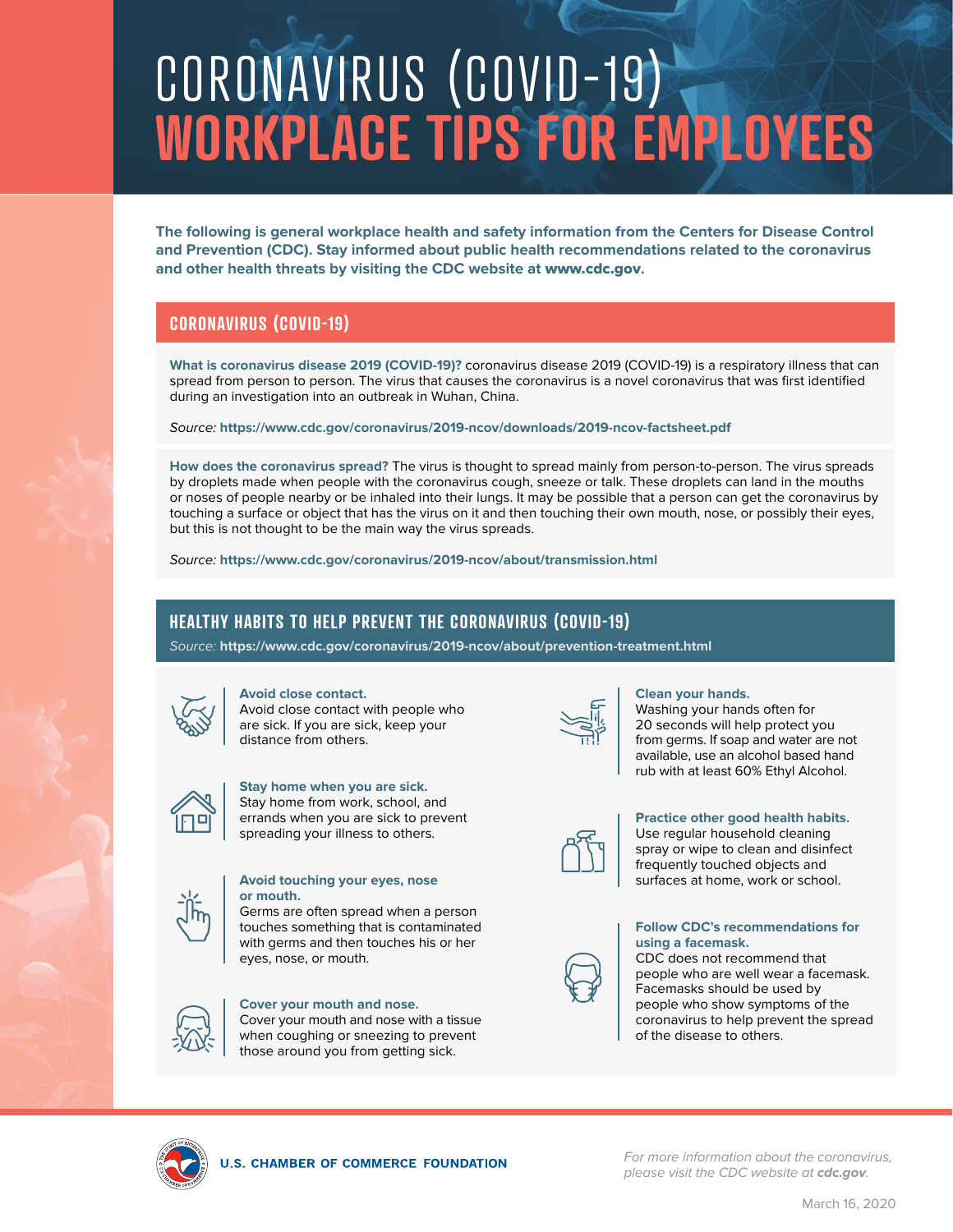# CORONAVIRUS (COVID-19) **WORKPLACE TIPS FOR EMPLOYEES**

**The following is general workplace health and safety information from the Centers for Disease Control and Prevention (CDC). Stay informed about public health recommendations related to the coronavirus and other health threats by visiting the CDC website at** www.cdc.gov**.**

# **CORONAVIRUS (COVID-19)**

**What is coronavirus disease 2019 (COVID-19)?** coronavirus disease 2019 (COVID-19) is a respiratory illness that can spread from person to person. The virus that causes the coronavirus is a novel coronavirus that was first identified during an investigation into an outbreak in Wuhan, China.

Source: **https://www.cdc.gov/coronavirus/2019-ncov/downloads/2019-ncov-factsheet.pdf**

**How does the coronavirus spread?** The virus is thought to spread mainly from person-to-person. The virus spreads by droplets made when people with the coronavirus cough, sneeze or talk. These droplets can land in the mouths or noses of people nearby or be inhaled into their lungs. It may be possible that a person can get the coronavirus by touching a surface or object that has the virus on it and then touching their own mouth, nose, or possibly their eyes, but this is not thought to be the main way the virus spreads.

Source: **https://www.cdc.gov/coronavirus/2019-ncov/about/transmission.html**

## **HEALTHY HABITS TO HELP PREVENT THE CORONAVIRUS (COVID-19)**

Source: **https://www.cdc.gov/coronavirus/2019-ncov/about/prevention-treatment.html**



#### **Avoid close contact.**

Avoid close contact with people who are sick. If you are sick, keep your distance from others.



#### **Clean your hands.**

Washing your hands often for 20 seconds will help protect you from germs. If soap and water are not available, use an alcohol based hand rub with at least 60% Ethyl Alcohol.

**Practice other good health habits.** Use regular household cleaning spray or wipe to clean and disinfect



#### **Stay home when you are sick.**

Stay home from work, school, and errands when you are sick to prevent spreading your illness to others.



#### **Avoid touching your eyes, nose or mouth.**

Germs are often spread when a person touches something that is contaminated with germs and then touches his or her eyes, nose, or mouth.



#### **Cover your mouth and nose.**

Cover your mouth and nose with a tissue when coughing or sneezing to prevent those around you from getting sick.



#### **Follow CDC's recommendations for using a facemask.**

CDC does not recommend that people who are well wear a facemask. Facemasks should be used by people who show symptoms of the coronavirus to help prevent the spread of the disease to others.



For more information about the coronavirus, please visit the CDC website at *[cdc.gov](https://www.cdc.gov/)*.